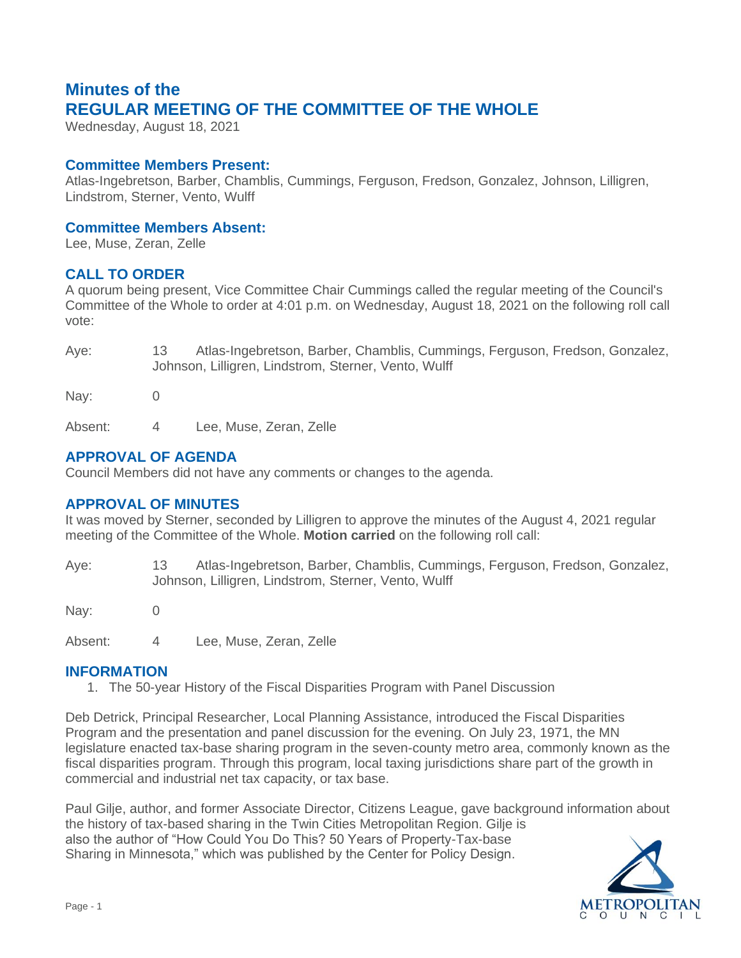# **Minutes of the REGULAR MEETING OF THE COMMITTEE OF THE WHOLE**

Wednesday, August 18, 2021

## **Committee Members Present:**

Atlas-Ingebretson, Barber, Chamblis, Cummings, Ferguson, Fredson, Gonzalez, Johnson, Lilligren, Lindstrom, Sterner, Vento, Wulff

## **Committee Members Absent:**

Lee, Muse, Zeran, Zelle

## **CALL TO ORDER**

A quorum being present, Vice Committee Chair Cummings called the regular meeting of the Council's Committee of the Whole to order at 4:01 p.m. on Wednesday, August 18, 2021 on the following roll call vote:

| Aye: | Atlas-Ingebretson, Barber, Chamblis, Cummings, Ferguson, Fredson, Gonzalez, |
|------|-----------------------------------------------------------------------------|
|      | Johnson, Lilligren, Lindstrom, Sterner, Vento, Wulff                        |

Nay: 0

Absent: 4 Lee, Muse, Zeran, Zelle

## **APPROVAL OF AGENDA**

Council Members did not have any comments or changes to the agenda.

## **APPROVAL OF MINUTES**

It was moved by Sterner, seconded by Lilligren to approve the minutes of the August 4, 2021 regular meeting of the Committee of the Whole. **Motion carried** on the following roll call:

Aye: 13 Atlas-Ingebretson, Barber, Chamblis, Cummings, Ferguson, Fredson, Gonzalez, Johnson, Lilligren, Lindstrom, Sterner, Vento, Wulff

Nay: 0

Absent: 4 Lee, Muse, Zeran, Zelle

## **INFORMATION**

1. The 50-year History of the Fiscal Disparities Program with Panel Discussion

Deb Detrick, Principal Researcher, Local Planning Assistance, introduced the Fiscal Disparities Program and the presentation and panel discussion for the evening. On July 23, 1971, the MN legislature enacted tax-base sharing program in the seven-county metro area, commonly known as the fiscal disparities program. Through this program, local taxing jurisdictions share part of the growth in commercial and industrial net tax capacity, or tax base.

Paul Gilje, author, and former Associate Director, Citizens League, gave background information about the history of tax-based sharing in the Twin Cities Metropolitan Region. Gilje is also the author of "How Could You Do This? 50 Years of Property-Tax-base Sharing in Minnesota," which was published by the Center for Policy Design.

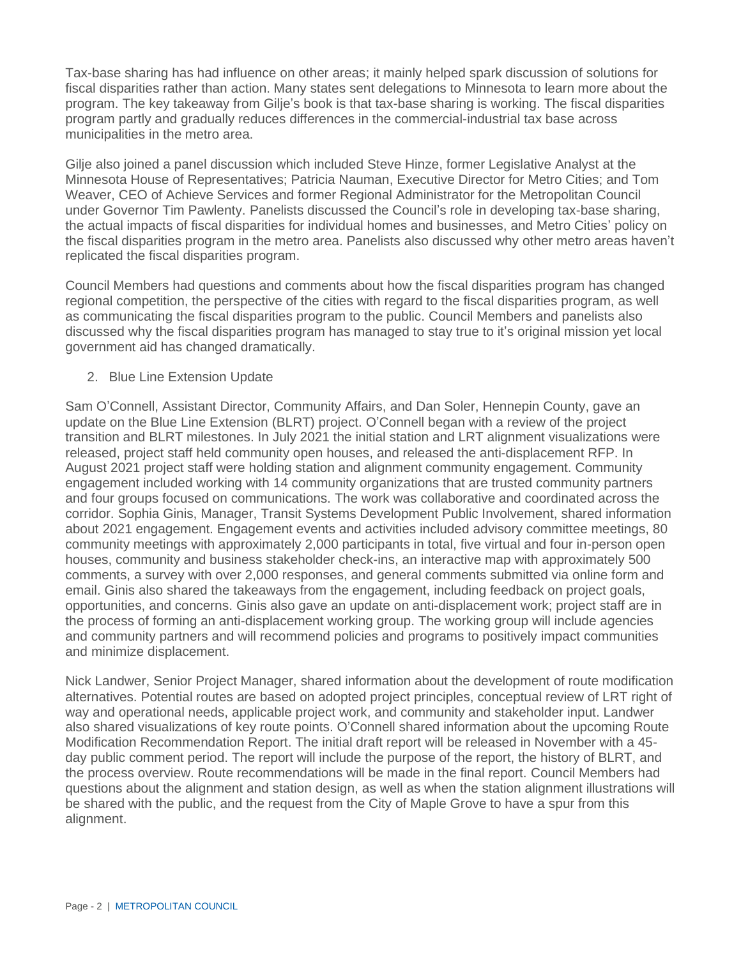Tax-base sharing has had influence on other areas; it mainly helped spark discussion of solutions for fiscal disparities rather than action. Many states sent delegations to Minnesota to learn more about the program. The key takeaway from Gilje's book is that tax-base sharing is working. The fiscal disparities program partly and gradually reduces differences in the commercial-industrial tax base across municipalities in the metro area.

Gilje also joined a panel discussion which included Steve Hinze, former Legislative Analyst at the Minnesota House of Representatives; Patricia Nauman, Executive Director for Metro Cities; and Tom Weaver, CEO of Achieve Services and former Regional Administrator for the Metropolitan Council under Governor Tim Pawlenty. Panelists discussed the Council's role in developing tax-base sharing, the actual impacts of fiscal disparities for individual homes and businesses, and Metro Cities' policy on the fiscal disparities program in the metro area. Panelists also discussed why other metro areas haven't replicated the fiscal disparities program.

Council Members had questions and comments about how the fiscal disparities program has changed regional competition, the perspective of the cities with regard to the fiscal disparities program, as well as communicating the fiscal disparities program to the public. Council Members and panelists also discussed why the fiscal disparities program has managed to stay true to it's original mission yet local government aid has changed dramatically.

#### 2. Blue Line Extension Update

Sam O'Connell, Assistant Director, Community Affairs, and Dan Soler, Hennepin County, gave an update on the Blue Line Extension (BLRT) project. O'Connell began with a review of the project transition and BLRT milestones. In July 2021 the initial station and LRT alignment visualizations were released, project staff held community open houses, and released the anti-displacement RFP. In August 2021 project staff were holding station and alignment community engagement. Community engagement included working with 14 community organizations that are trusted community partners and four groups focused on communications. The work was collaborative and coordinated across the corridor. Sophia Ginis, Manager, Transit Systems Development Public Involvement, shared information about 2021 engagement. Engagement events and activities included advisory committee meetings, 80 community meetings with approximately 2,000 participants in total, five virtual and four in-person open houses, community and business stakeholder check-ins, an interactive map with approximately 500 comments, a survey with over 2,000 responses, and general comments submitted via online form and email. Ginis also shared the takeaways from the engagement, including feedback on project goals, opportunities, and concerns. Ginis also gave an update on anti-displacement work; project staff are in the process of forming an anti-displacement working group. The working group will include agencies and community partners and will recommend policies and programs to positively impact communities and minimize displacement.

Nick Landwer, Senior Project Manager, shared information about the development of route modification alternatives. Potential routes are based on adopted project principles, conceptual review of LRT right of way and operational needs, applicable project work, and community and stakeholder input. Landwer also shared visualizations of key route points. O'Connell shared information about the upcoming Route Modification Recommendation Report. The initial draft report will be released in November with a 45 day public comment period. The report will include the purpose of the report, the history of BLRT, and the process overview. Route recommendations will be made in the final report. Council Members had questions about the alignment and station design, as well as when the station alignment illustrations will be shared with the public, and the request from the City of Maple Grove to have a spur from this alignment.